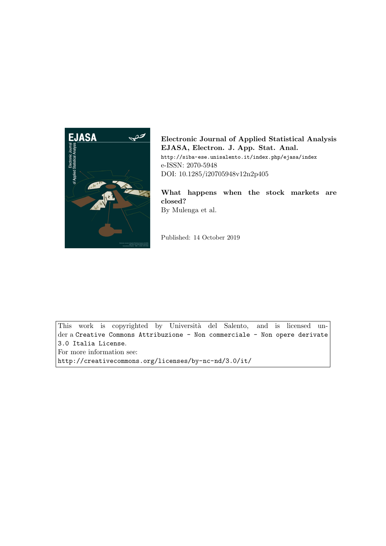

Electronic Journal of Applied Statistical Analysis EJASA, Electron. J. App. Stat. Anal. http://siba-ese.unisalento.it/index.php/ejasa/index e-ISSN: 2070-5948 DOI: 10.1285/i20705948v12n2p405

What happens when the stock markets are closed? By Mulenga et al.

Published: 14 October 2019

This work is copyrighted by Università del Salento, and is licensed under a Creative Commons Attribuzione - Non commerciale - Non opere derivate 3.0 Italia License.

For more information see:

http://creativecommons.org/licenses/by-nc-nd/3.0/it/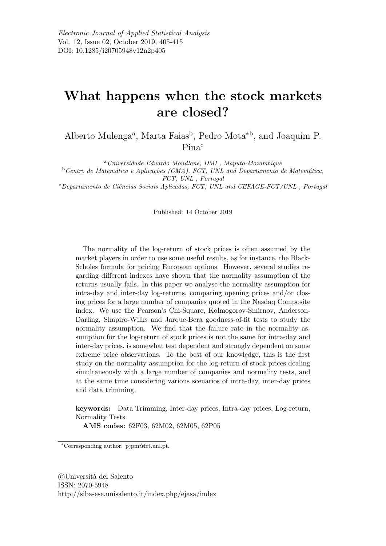# What happens when the stock markets are closed?

Alberto Mulenga<sup>a</sup>, Marta Faias<sup>b</sup>, Pedro Mota<sup>\*b</sup>, and Joaquim P. Pina<sup>c</sup>

<sup>a</sup>Universidade Eduardo Mondlane, DMI , Maputo-Mozambique  $b$ Centro de Matemática e Aplicações (CMA), FCT, UNL and Departamento de Matemática, FCT, UNL , Portugal

 $c$ Departamento de Ciências Sociais Aplicadas, FCT, UNL and CEFAGE-FCT/UNL, Portugal

Published: 14 October 2019

The normality of the log-return of stock prices is often assumed by the market players in order to use some useful results, as for instance, the Black-Scholes formula for pricing European options. However, several studies regarding different indexes have shown that the normality assumption of the returns usually fails. In this paper we analyse the normality assumption for intra-day and inter-day log-returns, comparing opening prices and/or closing prices for a large number of companies quoted in the Nasdaq Composite index. We use the Pearson's Chi-Square, Kolmogorov-Smirnov, Anderson-Darling, Shapiro-Wilks and Jarque-Bera goodness-of-fit tests to study the normality assumption. We find that the failure rate in the normality assumption for the log-return of stock prices is not the same for intra-day and inter-day prices, is somewhat test dependent and strongly dependent on some extreme price observations. To the best of our knowledge, this is the first study on the normality assumption for the log-return of stock prices dealing simultaneously with a large number of companies and normality tests, and at the same time considering various scenarios of intra-day, inter-day prices and data trimming.

keywords: Data Trimming, Inter-day prices, Intra-day prices, Log-return, Normality Tests.

AMS codes: 62F03, 62M02, 62M05, 62P05

<sup>∗</sup>Corresponding author: pjpm@fct.unl.pt.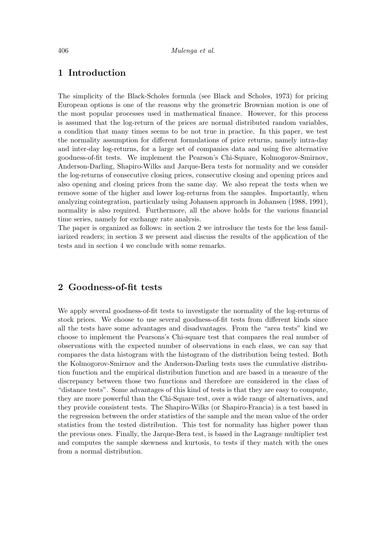# 1 Introduction

The simplicity of the Black-Scholes formula (see Black and Scholes, 1973) for pricing European options is one of the reasons why the geometric Brownian motion is one of the most popular processes used in mathematical finance. However, for this process is assumed that the log-return of the prices are normal distributed random variables, a condition that many times seems to be not true in practice. In this paper, we test the normality assumption for different formulations of price returns, namely intra-day and inter-day log-returns, for a large set of companies data and using five alternative goodness-of-fit tests. We implement the Pearson's Chi-Square, Kolmogorov-Smirnov, Anderson-Darling, Shapiro-Wilks and Jarque-Bera tests for normality and we consider the log-returns of consecutive closing prices, consecutive closing and opening prices and also opening and closing prices from the same day. We also repeat the tests when we remove some of the higher and lower log-returns from the samples. Importantly, when analyzing cointegration, particularly using Johansen approach in Johansen (1988, 1991), normality is also required. Furthermore, all the above holds for the various financial time series, namely for exchange rate analysis.

The paper is organized as follows: in section 2 we introduce the tests for the less familiarized readers; in section 3 we present and discuss the results of the application of the tests and in section 4 we conclude with some remarks.

# 2 Goodness-of-fit tests

We apply several goodness-of-fit tests to investigate the normality of the log-returns of stock prices. We choose to use several goodness-of-fit tests from different kinds since all the tests have some advantages and disadvantages. From the "area tests" kind we choose to implement the Pearsons's Chi-square test that compares the real number of observations with the expected number of observations in each class, we can say that compares the data histogram with the histogram of the distribution being tested. Both the Kolmogorov-Smirnov and the Anderson-Darling tests uses the cumulative distribution function and the empirical distribution function and are based in a measure of the discrepancy between those two functions and therefore are considered in the class of "distance tests". Some advantages of this kind of tests is that they are easy to compute, they are more powerful than the Chi-Square test, over a wide range of alternatives, and they provide consistent tests. The Shapiro-Wilks (or Shapiro-Francia) is a test based in the regression between the order statistics of the sample and the mean value of the order statistics from the tested distribution. This test for normality has higher power than the previous ones. Finally, the Jarque-Bera test, is based in the Lagrange multiplier test and computes the sample skewness and kurtosis, to tests if they match with the ones from a normal distribution.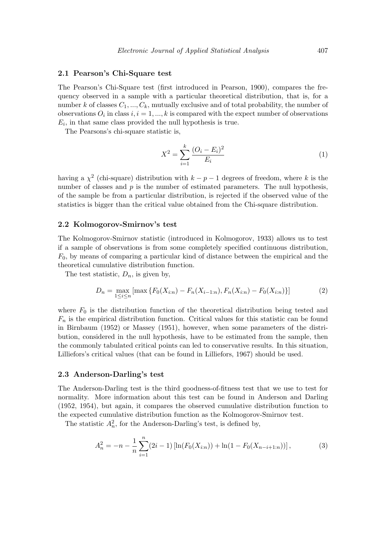#### 2.1 Pearson's Chi-Square test

The Pearson's Chi-Square test (first introduced in Pearson, 1900), compares the frequency observed in a sample with a particular theoretical distribution, that is, for a number k of classes  $C_1, ..., C_k$ , mutually exclusive and of total probability, the number of observations  $O_i$  in class  $i, i = 1, ..., k$  is compared with the expect number of observations  $E_i$ , in that same class provided the null hypothesis is true.

The Pearsons's chi-square statistic is,

$$
X^{2} = \sum_{i=1}^{k} \frac{(O_{i} - E_{i})^{2}}{E_{i}} \tag{1}
$$

having a  $\chi^2$  (chi-square) distribution with  $k - p - 1$  degrees of freedom, where k is the number of classes and  $p$  is the number of estimated parameters. The null hypothesis, of the sample be from a particular distribution, is rejected if the observed value of the statistics is bigger than the critical value obtained from the Chi-square distribution.

#### 2.2 Kolmogorov-Smirnov's test

The Kolmogorov-Smirnov statistic (introduced in Kolmogorov, 1933) allows us to test if a sample of observations is from some completely specified continuous distribution,  $F_0$ , by means of comparing a particular kind of distance between the empirical and the theoretical cumulative distribution function.

The test statistic,  $D_n$ , is given by,

$$
D_n = \max_{1 \le i \le n} \left[ \max \left\{ F_0(X_{i:n}) - F_n(X_{i-1:n}), F_n(X_{i:n}) - F_0(X_{i:n}) \right\} \right] \tag{2}
$$

where  $F_0$  is the distribution function of the theoretical distribution being tested and  $F_n$  is the empirical distribution function. Critical values for this statistic can be found in Birnbaum (1952) or Massey (1951), however, when some parameters of the distribution, considered in the null hypothesis, have to be estimated from the sample, then the commonly tabulated critical points can led to conservative results. In this situation, Lilliefors's critical values (that can be found in Lilliefors, 1967) should be used.

#### 2.3 Anderson-Darling's test

The Anderson-Darling test is the third goodness-of-fitness test that we use to test for normality. More information about this test can be found in Anderson and Darling (1952, 1954), but again, it compares the observed cumulative distribution function to the expected cumulative distribution function as the Kolmogorov-Smirnov test.

The statistic  $A_n^2$ , for the Anderson-Darling's test, is defined by,

$$
A_n^2 = -n - \frac{1}{n} \sum_{i=1}^n (2i - 1) \left[ \ln(F_0(X_{i:n})) + \ln(1 - F_0(X_{n-i+1:n})) \right],\tag{3}
$$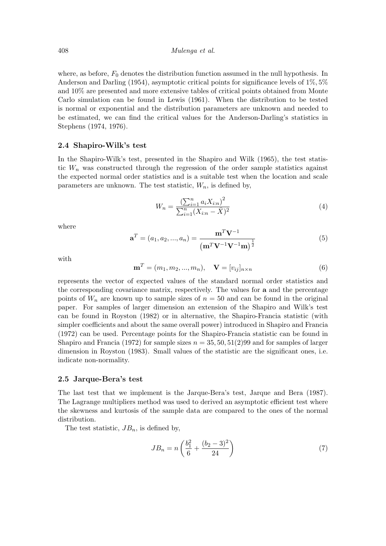where, as before,  $F_0$  denotes the distribution function assumed in the null hypothesis. In Anderson and Darling (1954), asymptotic critical points for significance levels of 1%, 5% and 10% are presented and more extensive tables of critical points obtained from Monte Carlo simulation can be found in Lewis (1961). When the distribution to be tested is normal or exponential and the distribution parameters are unknown and needed to be estimated, we can find the critical values for the Anderson-Darling's statistics in Stephens (1974, 1976).

#### 2.4 Shapiro-Wilk's test

In the Shapiro-Wilk's test, presented in the Shapiro and Wilk (1965), the test statistic  $W_n$  was constructed through the regression of the order sample statistics against the expected normal order statistics and is a suitable test when the location and scale parameters are unknown. The test statistic,  $W_n$ , is defined by,

$$
W_n = \frac{\left(\sum_{i=1}^n a_i X_{i:n}\right)^2}{\sum_{i=1}^n (X_{i:n} - \bar{X})^2}
$$
\n(4)

where

$$
\mathbf{a}^T = (a_1, a_2, ..., a_n) = \frac{\mathbf{m}^T \mathbf{V}^{-1}}{(\mathbf{m}^T \mathbf{V}^{-1} \mathbf{V}^{-1} \mathbf{m})^{\frac{1}{2}}}
$$
(5)

with

$$
\mathbf{m}^T = (m_1, m_2, ..., m_n), \quad \mathbf{V} = [v_{ij}]_{n \times n}
$$
 (6)

represents the vector of expected values of the standard normal order statistics and the corresponding covariance matrix, respectively. The values for a and the percentage points of  $W_n$  are known up to sample sizes of  $n = 50$  and can be found in the original paper. For samples of larger dimension an extension of the Shapiro and Wilk's test can be found in Royston (1982) or in alternative, the Shapiro-Francia statistic (with simpler coefficients and about the same overall power) introduced in Shapiro and Francia (1972) can be used. Percentage points for the Shapiro-Francia statistic can be found in Shapiro and Francia (1972) for sample sizes  $n = 35, 50, 51(2)99$  and for samples of larger dimension in Royston (1983). Small values of the statistic are the significant ones, i.e. indicate non-normality.

#### 2.5 Jarque-Bera's test

The last test that we implement is the Jarque-Bera's test, Jarque and Bera (1987). The Lagrange multipliers method was used to derived an asymptotic efficient test where the skewness and kurtosis of the sample data are compared to the ones of the normal distribution.

The test statistic,  $JB_n$ , is defined by,

$$
JB_n = n\left(\frac{b_1^2}{6} + \frac{(b_2 - 3)^2}{24}\right) \tag{7}
$$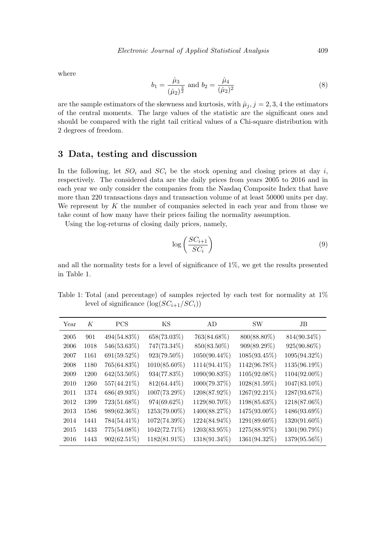where

$$
b_1 = \frac{\hat{\mu}_3}{(\hat{\mu}_2)^{\frac{3}{2}}} \text{ and } b_2 = \frac{\hat{\mu}_4}{(\hat{\mu}_2)^2} \tag{8}
$$

are the sample estimators of the skewness and kurtosis, with  $\hat{\mu}_j$ ,  $j = 2, 3, 4$  the estimators of the central moments. The large values of the statistic are the significant ones and should be compared with the right tail critical values of a Chi-square distribution with 2 degrees of freedom.

### 3 Data, testing and discussion

In the following, let  $SO_i$  and  $SC_i$  be the stock opening and closing prices at day i, respectively. The considered data are the daily prices from years 2005 to 2016 and in each year we only consider the companies from the Nasdaq Composite Index that have more than 220 transactions days and transaction volume of at least 50000 units per day. We represent by  $K$  the number of companies selected in each year and from those we take count of how many have their prices failing the normality assumption.

Using the log-returns of closing daily prices, namely,

$$
\log\left(\frac{SC_{i+1}}{SC_i}\right) \tag{9}
$$

and all the normality tests for a level of significance of 1%, we get the results presented in Table 1.

Table 1: Total (and percentage) of samples rejected by each test for normality at 1% level of significance  $(\log(SC_{i+1}/SC_i))$ 

| Year | K    | <b>PCS</b>     | ΚS             | AD           | <b>SW</b>       | JB             |
|------|------|----------------|----------------|--------------|-----------------|----------------|
| 2005 | 901  | 494(54.83%)    | $658(73.03\%)$ | 763(84.68%)  | 800(88.80%)     | $814(90.34\%)$ |
| 2006 | 1018 | 546(53.63%)    | 747(73.34%)    | 850(83.50%)  | $909(89.29\%)$  | 925(90.86%)    |
| 2007 | 1161 | 691(59.52%)    | 923(79.50%)    | 1050(90.44%) | $1085(93.45\%)$ | 1095(94.32%)   |
| 2008 | 1180 | 765(64.83%)    | 1010(85.60%)   | 1114(94.41%) | 1142(96.78%)    | 1135(96.19%)   |
| 2009 | 1200 | 642(53.50%)    | 934(77.83%)    | 1090(90.83%) | 1105(92.08%)    | 1104(92.00%)   |
| 2010 | 1260 | 557(44.21%)    | 812(64.44%)    | 1000(79.37%) | 1028(81.59%)    | 1047(83.10%)   |
| 2011 | 1374 | 686(49.93%)    | 1007(73.29%)   | 1208(87.92%) | 1267(92.21%)    | 1287(93.67%)   |
| 2012 | 1399 | 723(51.68%)    | 974(69.62%)    | 1129(80.70%) | 1198(85.63%)    | 1218(87.06%)   |
| 2013 | 1586 | 989(62.36%)    | 1253(79.00%)   | 1400(88.27%) | 1475(93.00%)    | 1486(93.69%)   |
| 2014 | 1441 | 784(54.41%)    | 1072(74.39%)   | 1224(84.94%) | 1291(89.60%)    | 1320(91.60%)   |
| 2015 | 1433 | 775(54.08%)    | 1042(72.71%)   | 1203(83.95%) | 1275(88.97%)    | 1301(90.79%)   |
| 2016 | 1443 | $902(62.51\%)$ | 1182(81.91%)   | 1318(91.34%) | 1361(94.32%)    | 1379(95.56%)   |
|      |      |                |                |              |                 |                |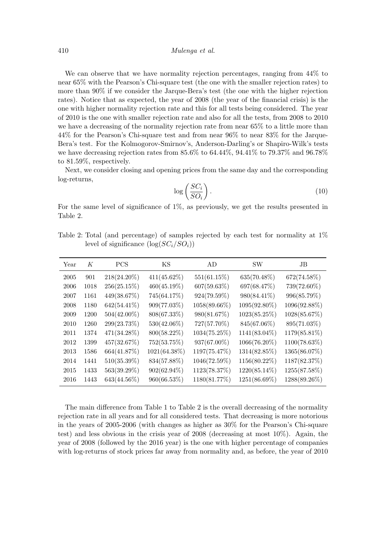We can observe that we have normality rejection percentages, ranging from 44% to near 65% with the Pearson's Chi-square test (the one with the smaller rejection rates) to more than 90% if we consider the Jarque-Bera's test (the one with the higher rejection rates). Notice that as expected, the year of 2008 (the year of the financial crisis) is the one with higher normality rejection rate and this for all tests being considered. The year of 2010 is the one with smaller rejection rate and also for all the tests, from 2008 to 2010 we have a decreasing of the normality rejection rate from near 65% to a little more than 44% for the Pearson's Chi-square test and from near 96% to near 83% for the Jarque-Bera's test. For the Kolmogorov-Smirnov's, Anderson-Darling's or Shapiro-Wilk's tests we have decreasing rejection rates from  $85.6\%$  to  $64.44\%$ ,  $94.41\%$  to  $79.37\%$  and  $96.78\%$ to 81.59%, respectively.

Next, we consider closing and opening prices from the same day and the corresponding log-returns,

$$
\log\left(\frac{SC_i}{SO_i}\right). \tag{10}
$$

For the same level of significance of 1%, as previously, we get the results presented in Table 2.

Table 2: Total (and percentage) of samples rejected by each test for normality at 1% level of significance  $(\log(SC_i/SO_i))$ 

| Year | К    | <b>PCS</b>     | ΚS             | AD             | <b>SW</b>       | JB           |
|------|------|----------------|----------------|----------------|-----------------|--------------|
| 2005 | 901  | $218(24.20\%)$ | $411(45.62\%)$ | $551(61.15\%)$ | $635(70.48\%)$  | 672(74.58%)  |
| 2006 | 1018 | $256(25.15\%)$ | $460(45.19\%)$ | $607(59.63\%)$ | 697(68.47%)     | 739(72.60%)  |
| 2007 | 1161 | 449(38.67%)    | 745(64.17%)    | 924(79.59%)    | 980(84.41%)     | 996(85.79%)  |
| 2008 | 1180 | 642(54.41%)    | 909(77.03%)    | 1058(89.66%)   | 1095(92.80%)    | 1096(92.88%) |
| 2009 | 1200 | $504(42.00\%)$ | 808(67.33%)    | 980(81.67%)    | $1023(85.25\%)$ | 1028(85.67%) |
| 2010 | 1260 | 299(23.73%)    | 530(42.06%)    | 727(57.70%)    | 845(67.06%)     | 895(71.03%)  |
| 2011 | 1374 | 471(34.28%)    | 800(58.22%)    | 1034(75.25%)   | 1141(83.04%)    | 1179(85.81%) |
| 2012 | 1399 | 457(32.67%)    | 752(53.75%)    | $937(67.00\%)$ | 1066(76.20%)    | 1100(78.63%) |
| 2013 | 1586 | 664(41.87%)    | 1021(64.38%)   | 1197(75.47%)   | 1314(82.85%)    | 1365(86.07%) |
| 2014 | 1441 | $510(35.39\%)$ | 834(57.88%)    | 1046(72.59%)   | 1156(80.22%)    | 1187(82.37%) |
| 2015 | 1433 | 563(39.29%)    | $902(62.94\%)$ | 1123(78.37%)   | 1220(85.14%)    | 1255(87.58%) |
| 2016 | 1443 | 643(44.56%)    | 960(66.53%)    | 1180(81.77%)   | 1251(86.69%)    | 1288(89.26%) |

The main difference from Table 1 to Table 2 is the overall decreasing of the normality rejection rate in all years and for all considered tests. That decreasing is more notorious in the years of 2005-2006 (with changes as higher as 30% for the Pearson's Chi-square test) and less obvious in the crisis year of  $2008$  (decreasing at most  $10\%$ ). Again, the year of 2008 (followed by the 2016 year) is the one with higher percentage of companies with log-returns of stock prices far away from normality and, as before, the year of 2010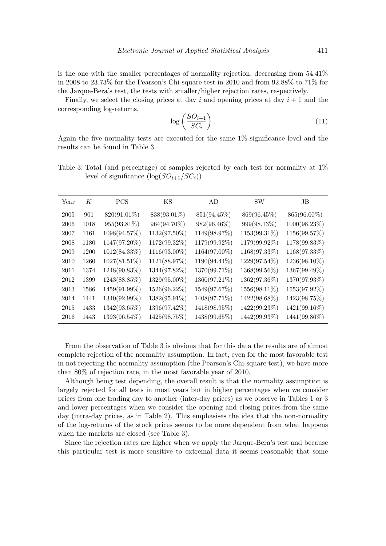is the one with the smaller percentages of normality rejection, decreasing from 54.41% in 2008 to 23.73% for the Pearson's Chi-square test in 2010 and from 92.88% to 71% for the Jarque-Bera's test, the tests with smaller/higher rejection rates, respectively.

Finally, we select the closing prices at day i and opening prices at day  $i + 1$  and the corresponding log-returns,

$$
\log\left(\frac{SO_{i+1}}{SC_i}\right). \tag{11}
$$

Again the five normality tests are executed for the same 1% significance level and the results can be found in Table 3.

Table 3: Total (and percentage) of samples rejected by each test for normality at 1% level of significance  $(\log(SO_{i+1}/SC_i))$ 

| Year | К    | <b>PCS</b>      | ΚS           | AD           | <b>SW</b>    | JB              |
|------|------|-----------------|--------------|--------------|--------------|-----------------|
| 2005 | 901  | 820(91.01\%)    | 838(93.01%)  | 851(94.45%)  | 869(96.45%)  | 865(96.00%)     |
| 2006 | 1018 | 955(93.81%)     | 964(94.70%)  | 982(96.46%)  | 999(98.13%)  | $1000(98.23\%)$ |
| 2007 | 1161 | 1098(94.57%)    | 1132(97.50%) | 1149(98.97%) | 1153(99.31%) | 1156(99.57%)    |
| 2008 | 1180 | 1147(97.20%)    | 1172(99.32%) | 1179(99.92%) | 1179(99.92%) | 1178(99.83%)    |
| 2009 | 1200 | $1012(84.33\%)$ | 1116(93.00%) | 1164(97.00%) | 1168(97.33%) | 1168(97.33%)    |
| 2010 | 1260 | $1027(81.51\%)$ | 1121(88.97%) | 1190(94.44%) | 1229(97.54%) | 1236(98.10%)    |
| 2011 | 1374 | 1248(90.83%)    | 1344(97.82%) | 1370(99.71%) | 1368(99.56%) | 1367(99.49%)    |
| 2012 | 1399 | 1243(88.85%)    | 1329(95.00%) | 1360(97.21%) | 1362(97.36%) | 1370(97.93%)    |
| 2013 | 1586 | 1459(91.99%)    | 1526(96.22%) | 1549(97.67%) | 1556(98.11%) | 1553(97.92%)    |
| 2014 | 1441 | 1340(92.99%)    | 1382(95.91%) | 1408(97.71%) | 1422(98.68%) | 1423(98.75%)    |
| 2015 | 1433 | 1342(93.65%)    | 1396(97.42%) | 1418(98.95%) | 1422(99.23%) | 1421(99.16%)    |
| 2016 | 1443 | 1393(96.54%)    | 1425(98.75%) | 1438(99.65%) | 1442(99.93%) | 1441(99.86%)    |

From the observation of Table 3 is obvious that for this data the results are of almost complete rejection of the normality assumption. In fact, even for the most favorable test in not rejecting the normality assumption (the Pearson's Chi-square test), we have more than 80% of rejection rate, in the most favorable year of 2010.

Although being test depending, the overall result is that the normality assumption is largely rejected for all tests in most years but in higher percentages when we consider prices from one trading day to another (inter-day prices) as we observe in Tables 1 or 3 and lower percentages when we consider the opening and closing prices from the same day (intra-day prices, as in Table 2). This emphasises the idea that the non-normality of the log-returns of the stock prices seems to be more dependent from what happens when the markets are closed (see Table 3).

Since the rejection rates are higher when we apply the Jarque-Bera's test and because this particular test is more sensitive to extremal data it seems reasonable that some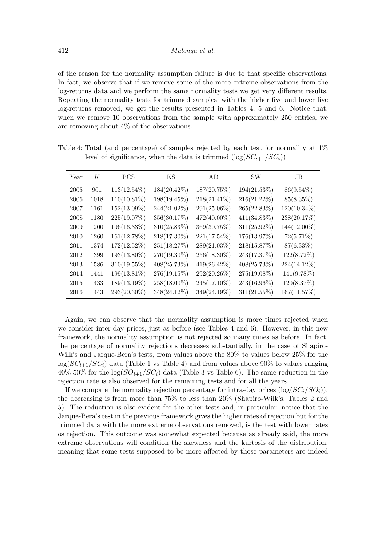of the reason for the normality assumption failure is due to that specific observations. In fact, we observe that if we remove some of the more extreme observations from the log-returns data and we perform the same normality tests we get very different results. Repeating the normality tests for trimmed samples, with the higher five and lower five log-returns removed, we get the results presented in Tables 4, 5 and 6. Notice that, when we remove 10 observations from the sample with approximately 250 entries, we are removing about 4% of the observations.

| Year | K    | <b>PCS</b>     | ΚS             | AD.            | <b>SW</b>      | JB             |
|------|------|----------------|----------------|----------------|----------------|----------------|
| 2005 | 901  | $113(12.54\%)$ | $184(20.42\%)$ | 187(20.75%)    | 194(21.53%)    | $86(9.54\%)$   |
| 2006 | 1018 | $110(10.81\%)$ | 198(19.45%)    | $218(21.41\%)$ | 216(21.22%)    | 85(8.35%)      |
| 2007 | 1161 | 152(13.09%)    | 244(21.02%)    | 291(25.06%)    | 265(22.83%)    | $120(10.34\%)$ |
| 2008 | 1180 | 225(19.07%)    | 356(30.17%)    | 472(40.00%)    | $411(34.83\%)$ | 238(20.17%)    |
| 2009 | 1200 | 196(16.33%)    | $310(25.83\%)$ | 369(30.75%)    | $311(25.92\%)$ | 144(12.00%)    |
| 2010 | 1260 | 161(12.78%)    | 218(17.30%)    | $221(17.54\%)$ | 176(13.97%)    | $72(5.71\%)$   |
| 2011 | 1374 | 172(12.52%)    | 251(18.27%)    | 289(21.03%)    | 218(15.87%)    | $87(6.33\%)$   |
| 2012 | 1399 | 193(13.80%)    | 270(19.30%)    | 256(18.30%)    | 243(17.37%)    | 122(8.72%)     |
| 2013 | 1586 | $310(19.55\%)$ | $408(25.73\%)$ | $419(26.42\%)$ | 408(25.73%)    | $224(14.12\%)$ |
| 2014 | 1441 | 199(13.81%)    | 276(19.15%)    | 292(20.26%)    | 275(19.08%)    | 141(9.78%)     |
| 2015 | 1433 | 189(13.19%)    | 258(18.00%)    | 245(17.10%)    | 243(16.96%)    | 120(8.37%)     |
| 2016 | 1443 | 293(20.30%)    | 348(24.12%)    | 349(24.19%)    | $311(21.55\%)$ | 167(11.57%)    |

Table 4: Total (and percentage) of samples rejected by each test for normality at 1% level of significance, when the data is trimmed  $(\log(SC_{i+1}/SC_i))$ 

Again, we can observe that the normality assumption is more times rejected when we consider inter-day prices, just as before (see Tables 4 and 6). However, in this new framework, the normality assumption is not rejected so many times as before. In fact, the percentage of normality rejections decreases substantially, in the case of Shapiro-Wilk's and Jarque-Bera's tests, from values above the 80% to values below 25% for the  $log(SC_{i+1}/SC_i)$  data (Table 1 vs Table 4) and from values above 90% to values ranging  $40\%$ -50% for the  $\log(SO_{i+1}/SC_i)$  data (Table 3 vs Table 6). The same reduction in the rejection rate is also observed for the remaining tests and for all the years.

If we compare the normality rejection percentage for intra-day prices  $(\log(SC_i/SO_i)),$ the decreasing is from more than 75% to less than 20% (Shapiro-Wilk's, Tables 2 and 5). The reduction is also evident for the other tests and, in particular, notice that the Jarque-Bera's test in the previous framework gives the higher rates of rejection but for the trimmed data with the more extreme observations removed, is the test with lower rates os rejection. This outcome was somewhat expected because as already said, the more extreme observations will condition the skewness and the kurtosis of the distribution, meaning that some tests supposed to be more affected by those parameters are indeed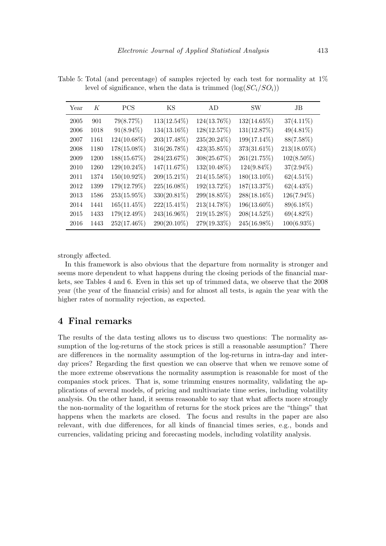| Year | K    | <b>PCS</b>     | KS             | AD             | <b>SW</b>      | JB             |
|------|------|----------------|----------------|----------------|----------------|----------------|
| 2005 | 901  | 79(8.77%)      | $113(12.54\%)$ | 124(13.76%)    | $132(14.65\%)$ | $37(4.11\%)$   |
| 2006 | 1018 | $91(8.94\%)$   | $134(13.16\%)$ | 128(12.57%)    | 131(12.87%)    | $49(4.81\%)$   |
| 2007 | 1161 | 124(10.68%)    | 203(17.48%)    | $235(20.24\%)$ | 199(17.14%)    | 88(7.58%)      |
| 2008 | 1180 | 178(15.08%)    | 316(26.78%)    | $423(35.85\%)$ | 373(31.61%)    | $213(18.05\%)$ |
| 2009 | 1200 | 188(15.67%)    | 284(23.67%)    | 308(25.67%)    | 261(21.75%)    | $102(8.50\%)$  |
| 2010 | 1260 | 129(10.24%)    | 147(11.67%)    | $132(10.48\%)$ | $124(9.84\%)$  | $37(2.94\%)$   |
| 2011 | 1374 | 150(10.92%)    | 209(15.21%)    | $214(15.58\%)$ | $180(13.10\%)$ | $62(4.51\%)$   |
| 2012 | 1399 | 179(12.79%)    | $225(16.08\%)$ | 192(13.72%)    | 187(13.37%)    | $62(4.43\%)$   |
| 2013 | 1586 | 253(15.95%)    | 330(20.81%)    | 299(18.85%)    | 288(18.16%)    | 126(7.94%)     |
| 2014 | 1441 | $165(11.45\%)$ | $222(15.41\%)$ | 213(14.78%)    | 196(13.60%)    | 89(6.18%)      |
| 2015 | 1433 | 179(12.49%)    | 243(16.96%)    | $219(15.28\%)$ | 208(14.52%)    | $69(4.82\%)$   |
| 2016 | 1443 | 252(17.46%)    | 290(20.10%)    | 279(19.33%)    | 245(16.98%)    | $100(6.93\%)$  |

Table 5: Total (and percentage) of samples rejected by each test for normality at 1% level of significance, when the data is trimmed  $(\log(SC_i/SO_i))$ 

strongly affected.

In this framework is also obvious that the departure from normality is stronger and seems more dependent to what happens during the closing periods of the financial markets, see Tables 4 and 6. Even in this set up of trimmed data, we observe that the 2008 year (the year of the financial crisis) and for almost all tests, is again the year with the higher rates of normality rejection, as expected.

## 4 Final remarks

The results of the data testing allows us to discuss two questions: The normality assumption of the log-returns of the stock prices is still a reasonable assumption? There are differences in the normality assumption of the log-returns in intra-day and interday prices? Regarding the first question we can observe that when we remove some of the more extreme observations the normality assumption is reasonable for most of the companies stock prices. That is, some trimming ensures normality, validating the applications of several models, of pricing and multivariate time series, including volatility analysis. On the other hand, it seems reasonable to say that what affects more strongly the non-normality of the logarithm of returns for the stock prices are the "things" that happens when the markets are closed. The focus and results in the paper are also relevant, with due differences, for all kinds of financial times series, e.g., bonds and currencies, validating pricing and forecasting models, including volatility analysis.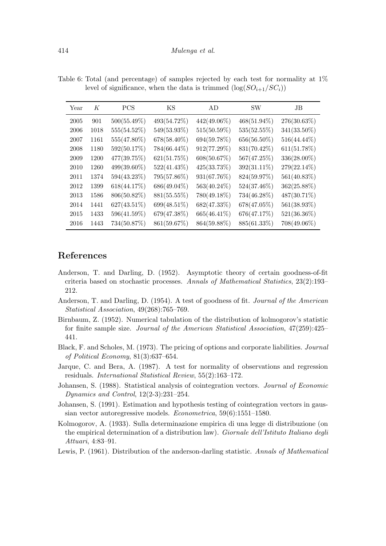| Year | K    | <b>PCS</b>     | ΚS             | AD             | <b>SW</b>      | JB             |
|------|------|----------------|----------------|----------------|----------------|----------------|
| 2005 | 901  | $500(55.49\%)$ | 493(54.72%)    | $442(49.06\%)$ | $468(51.94\%)$ | $276(30.63\%)$ |
| 2006 | 1018 | 555(54.52%)    | 549(53.93%)    | 515(50.59%)    | 535(52.55%)    | 341(33.50%)    |
| 2007 | 1161 | 555(47.80%)    | 678(58.40%)    | 694(59.78%)    | 656(56.50%)    | 516(44.44%)    |
| 2008 | 1180 | 592(50.17%)    | 784(66.44%)    | 912(77.29%)    | 831(70.42%)    | 611(51.78%)    |
| 2009 | 1200 | 477(39.75%)    | 621(51.75%)    | 608(50.67%)    | 567(47.25%)    | 336(28.00%)    |
| 2010 | 1260 | 499(39.60%)    | 522(41.43%)    | $425(33.73\%)$ | 392(31.11%)    | 279(22.14%)    |
| 2011 | 1374 | 594(43.23%)    | 795(57.86%)    | 931(67.76%)    | 824(59.97%)    | 561(40.83%)    |
| 2012 | 1399 | 618(44.17%)    | $686(49.04\%)$ | $563(40.24\%)$ | $524(37.46\%)$ | $362(25.88\%)$ |
| 2013 | 1586 | 806(50.82%)    | 881(55.55%)    | 780(49.18%)    | 734(46.28%)    | 487(30.71%)    |
| 2014 | 1441 | $627(43.51\%)$ | 699(48.51%)    | 682(47.33%)    | 678(47.05%)    | 561(38.93%)    |
| 2015 | 1433 | 596(41.59%)    | 679(47.38%)    | 665(46.41\%)   | 676(47.17%)    | $521(36.36\%)$ |
| 2016 | 1443 | 734(50.87%)    | 861(59.67%)    | 864(59.88%)    | 885(61.33%)    | 708(49.06%)    |

Table 6: Total (and percentage) of samples rejected by each test for normality at 1% level of significance, when the data is trimmed  $(\log(SO_{i+1}/SC_i))$ 

## References

- Anderson, T. and Darling, D. (1952). Asymptotic theory of certain goodness-of-fit criteria based on stochastic processes. Annals of Mathematical Statistics, 23(2):193– 212.
- Anderson, T. and Darling, D. (1954). A test of goodness of fit. Journal of the American Statistical Association, 49(268):765–769.
- Birnbaum, Z. (1952). Numerical tabulation of the distribution of kolmogorov's statistic for finite sample size. Journal of the American Statistical Association, 47(259):425– 441.
- Black, F. and Scholes, M. (1973). The pricing of options and corporate liabilities. Journal of Political Economy, 81(3):637–654.
- Jarque, C. and Bera, A. (1987). A test for normality of observations and regression residuals. International Statistical Review, 55(2):163–172.
- Johansen, S. (1988). Statistical analysis of cointegration vectors. Journal of Economic Dynamics and Control, 12(2-3):231–254.
- Johansen, S. (1991). Estimation and hypothesis testing of cointegration vectors in gaussian vector autoregressive models. Econometrica, 59(6):1551–1580.
- Kolmogorov, A. (1933). Sulla determinazione empirica di una legge di distribuzione (on the empirical determination of a distribution law). Giornale dell'Istituto Italiano degli Attuari, 4:83–91.
- Lewis, P. (1961). Distribution of the anderson-darling statistic. Annals of Mathematical